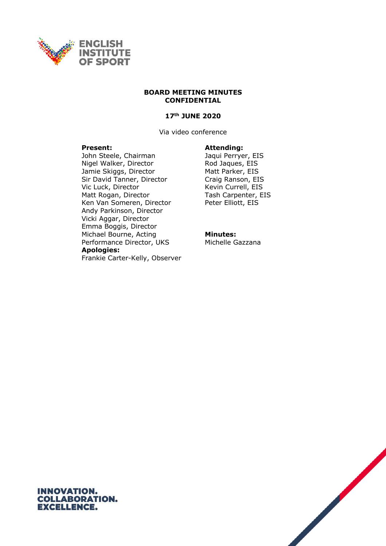

#### **BOARD MEETING MINUTES CONFIDENTIAL**

# **17th JUNE 2020**

Via video conference

#### **Present: Attending:**

John Steele, Chairman Jaqui Perryer, EIS Nigel Walker, Director Rod Jaques, EIS Jamie Skiggs, Director Matt Parker, EIS Sir David Tanner, Director Craig Ranson, EIS Vic Luck, Director **Kevin Currell**, EIS Matt Rogan, Director Tash Carpenter, EIS<br>Ken Van Someren, Director Feter Elliott, EIS Ken Van Someren, Director Andy Parkinson, Director Vicki Aggar, Director Emma Boggis, Director Michael Bourne, Acting Performance Director, UKS **Apologies:**

**Minutes:** Michelle Gazzana

Frankie Carter-Kelly, Observer

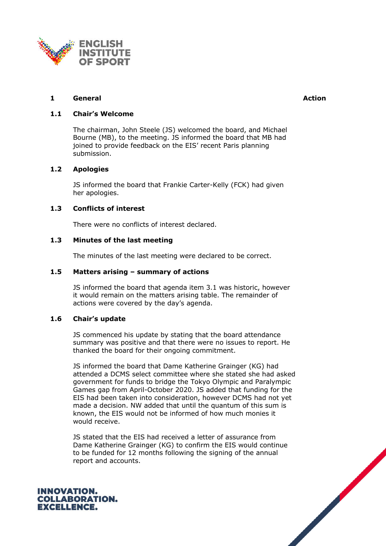

# **1 General Action**

# **1.1 Chair's Welcome**

The chairman, John Steele (JS) welcomed the board, and Michael Bourne (MB), to the meeting. JS informed the board that MB had joined to provide feedback on the EIS' recent Paris planning submission.

# **1.2 Apologies**

JS informed the board that Frankie Carter-Kelly (FCK) had given her apologies.

# **1.3 Conflicts of interest**

There were no conflicts of interest declared.

# **1.3 Minutes of the last meeting**

The minutes of the last meeting were declared to be correct.

# **1.5 Matters arising – summary of actions**

JS informed the board that agenda item 3.1 was historic, however it would remain on the matters arising table. The remainder of actions were covered by the day's agenda.

# **1.6 Chair's update**

JS commenced his update by stating that the board attendance summary was positive and that there were no issues to report. He thanked the board for their ongoing commitment.

JS informed the board that Dame Katherine Grainger (KG) had attended a DCMS select committee where she stated she had asked government for funds to bridge the Tokyo Olympic and Paralympic Games gap from April-October 2020. JS added that funding for the EIS had been taken into consideration, however DCMS had not yet made a decision. NW added that until the quantum of this sum is known, the EIS would not be informed of how much monies it would receive.

JS stated that the EIS had received a letter of assurance from Dame Katherine Grainger (KG) to confirm the EIS would continue to be funded for 12 months following the signing of the annual report and accounts.



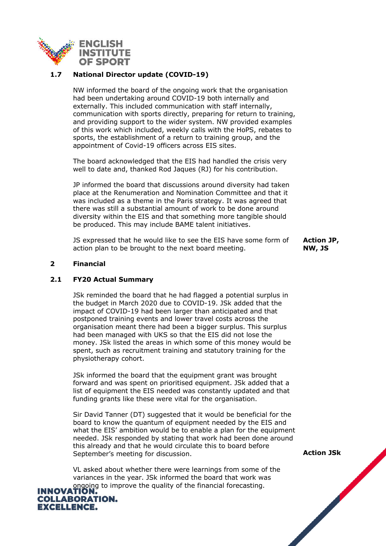

# **1.7 National Director update (COVID-19)**

NW informed the board of the ongoing work that the organisation had been undertaking around COVID-19 both internally and externally. This included communication with staff internally, communication with sports directly, preparing for return to training, and providing support to the wider system. NW provided examples of this work which included, weekly calls with the HoPS, rebates to sports, the establishment of a return to training group, and the appointment of Covid-19 officers across EIS sites.

The board acknowledged that the EIS had handled the crisis very well to date and, thanked Rod Jaques (RJ) for his contribution.

JP informed the board that discussions around diversity had taken place at the Renumeration and Nomination Committee and that it was included as a theme in the Paris strategy. It was agreed that there was still a substantial amount of work to be done around diversity within the EIS and that something more tangible should be produced. This may include BAME talent initiatives.

JS expressed that he would like to see the EIS have some form of action plan to be brought to the next board meeting.

**Action JP, NW, JS**

# **2 Financial**

# **2.1 FY20 Actual Summary**

JSk reminded the board that he had flagged a potential surplus in the budget in March 2020 due to COVID-19. JSk added that the impact of COVID-19 had been larger than anticipated and that postponed training events and lower travel costs across the organisation meant there had been a bigger surplus. This surplus had been managed with UKS so that the EIS did not lose the money. JSk listed the areas in which some of this money would be spent, such as recruitment training and statutory training for the physiotherapy cohort.

JSk informed the board that the equipment grant was brought forward and was spent on prioritised equipment. JSk added that a list of equipment the EIS needed was constantly updated and that funding grants like these were vital for the organisation.

Sir David Tanner (DT) suggested that it would be beneficial for the board to know the quantum of equipment needed by the EIS and what the EIS' ambition would be to enable a plan for the equipment needed. JSk responded by stating that work had been done around this already and that he would circulate this to board before September's meeting for discussion.

VL asked about whether there were learnings from some of the variances in the year. JSk informed the board that work was **INNOVATION. Constitution** in the financial forecasting.



**Action JSk**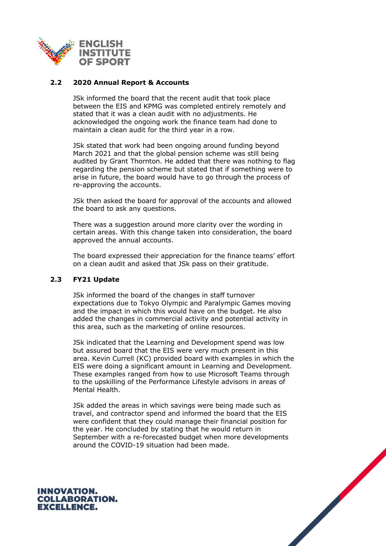

# **2.2 2020 Annual Report & Accounts**

JSk informed the board that the recent audit that took place between the EIS and KPMG was completed entirely remotely and stated that it was a clean audit with no adjustments. He acknowledged the ongoing work the finance team had done to maintain a clean audit for the third year in a row.

JSk stated that work had been ongoing around funding beyond March 2021 and that the global pension scheme was still being audited by Grant Thornton. He added that there was nothing to flag regarding the pension scheme but stated that if something were to arise in future, the board would have to go through the process of re-approving the accounts.

JSk then asked the board for approval of the accounts and allowed the board to ask any questions.

There was a suggestion around more clarity over the wording in certain areas. With this change taken into consideration, the board approved the annual accounts.

The board expressed their appreciation for the finance teams' effort on a clean audit and asked that JSk pass on their gratitude.

# **2.3 FY21 Update**

JSk informed the board of the changes in staff turnover expectations due to Tokyo Olympic and Paralympic Games moving and the impact in which this would have on the budget. He also added the changes in commercial activity and potential activity in this area, such as the marketing of online resources.

JSk indicated that the Learning and Development spend was low but assured board that the EIS were very much present in this area. Kevin Currell (KC) provided board with examples in which the EIS were doing a significant amount in Learning and Development. These examples ranged from how to use Microsoft Teams through to the upskilling of the Performance Lifestyle advisors in areas of Mental Health.

JSk added the areas in which savings were being made such as travel, and contractor spend and informed the board that the EIS were confident that they could manage their financial position for the year. He concluded by stating that he would return in September with a re-forecasted budget when more developments around the COVID-19 situation had been made.



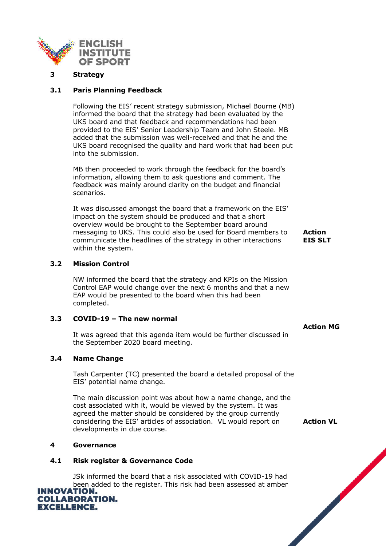

#### **3 Strategy**

# **3.1 Paris Planning Feedback**

Following the EIS' recent strategy submission, Michael Bourne (MB) informed the board that the strategy had been evaluated by the UKS board and that feedback and recommendations had been provided to the EIS' Senior Leadership Team and John Steele. MB added that the submission was well-received and that he and the UKS board recognised the quality and hard work that had been put into the submission.

MB then proceeded to work through the feedback for the board's information, allowing them to ask questions and comment. The feedback was mainly around clarity on the budget and financial scenarios.

It was discussed amongst the board that a framework on the EIS' impact on the system should be produced and that a short overview would be brought to the September board around messaging to UKS. This could also be used for Board members to communicate the headlines of the strategy in other interactions within the system.

# **3.2 Mission Control**

NW informed the board that the strategy and KPIs on the Mission Control EAP would change over the next 6 months and that a new EAP would be presented to the board when this had been completed.

# **3.3 COVID-19 – The new normal**

It was agreed that this agenda item would be further discussed in the September 2020 board meeting.

# **3.4 Name Change**

Tash Carpenter (TC) presented the board a detailed proposal of the EIS' potential name change.

The main discussion point was about how a name change, and the cost associated with it, would be viewed by the system. It was agreed the matter should be considered by the group currently considering the EIS' articles of association. VL would report on developments in due course.

# **4 Governance**

# **4.1 Risk register & Governance Code**

JSk informed the board that a risk associated with COVID-19 had been added to the register. This risk had been assessed at amber<br>**INNOVATION.** 



**Action EIS SLT**

**Action MG**

**Action VL**